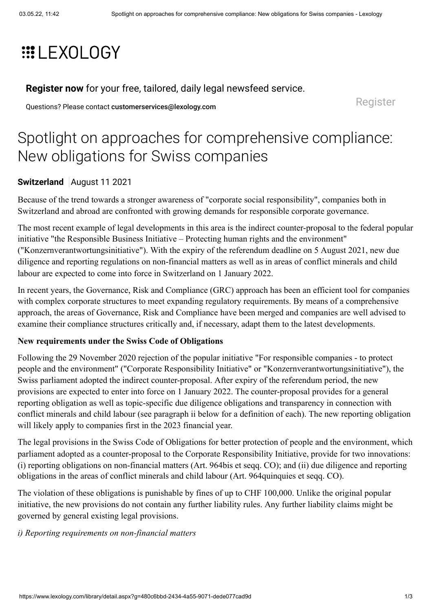# **EXOLOGY**

**[Register now](https://www.lexology.com/account/register.aspx?utm_campaign=register%20now%20to%20read%20this%20article&utm_source=www.lexology.com&utm_medium=article%20precis%20banner&returnurl=%2flibrary%2fdetail.aspx%3fg%3d480c6bbd-2434-4a55-9071-dede077cad9d)** for your free, tailored, daily legal newsfeed service.

Questions? Please contact [customerservices@lexology.com](mailto:customerservices@lexology.com) example and a series of [Register](https://www.lexology.com/account/register.aspx?utm_campaign=register%20now%20to%20read%20this%20article&utm_source=www.lexology.com&utm_medium=article%20precis%20banner&returnurl=%2flibrary%2fdetail.aspx%3fg%3d480c6bbd-2434-4a55-9071-dede077cad9d)

# Spotlight on approaches for comprehensive compliance: New obligations for Swiss companies

# **[Switzerland](https://www.lexology.com/hub/switzerland)** August 11 2021

Because of the trend towards a stronger awareness of "corporate social responsibility", companies both in Switzerland and abroad are confronted with growing demands for responsible corporate governance.

The most recent example of legal developments in this area is the indirect counter-proposal to the federal popular initiative "the Responsible Business Initiative – Protecting human rights and the environment" ("Konzernverantwortungsinitiative"). With the expiry of the referendum deadline on 5 August 2021, new due diligence and reporting regulations on non-financial matters as well as in areas of conflict minerals and child labour are expected to come into force in Switzerland on 1 January 2022.

In recent years, the Governance, Risk and Compliance (GRC) approach has been an efficient tool for companies with complex corporate structures to meet expanding regulatory requirements. By means of a comprehensive approach, the areas of Governance, Risk and Compliance have been merged and companies are well advised to examine their compliance structures critically and, if necessary, adapt them to the latest developments.

# **New requirements under the Swiss Code of Obligations**

Following the 29 November 2020 rejection of the popular initiative "For responsible companies - to protect people and the environment" ("Corporate Responsibility Initiative" or "Konzernverantwortungsinitiative"), the Swiss parliament adopted the indirect counter-proposal. After expiry of the referendum period, the new provisions are expected to enter into force on 1 January 2022. The counter-proposal provides for a general reporting obligation as well as topic-specific due diligence obligations and transparency in connection with conflict minerals and child labour (see paragraph ii below for a definition of each). The new reporting obligation will likely apply to companies first in the 2023 financial year.

The legal provisions in the Swiss Code of Obligations for better protection of people and the environment, which parliament adopted as a counter-proposal to the Corporate Responsibility Initiative, provide for two innovations: (i) reporting obligations on non-financial matters (Art. 964bis et seqq. CO); and (ii) due diligence and reporting obligations in the areas of conflict minerals and child labour (Art. 964quinquies et seqq. CO).

The violation of these obligations is punishable by fines of up to CHF 100,000. Unlike the original popular initiative, the new provisions do not contain any further liability rules. Any further liability claims might be governed by general existing legal provisions.

#### *i) Reporting requirements on non-financial matters*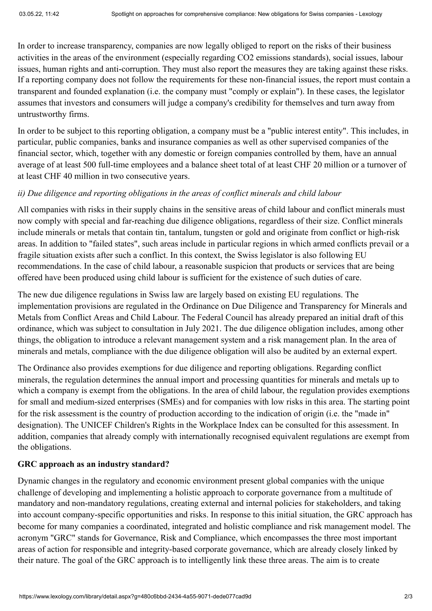In order to increase transparency, companies are now legally obliged to report on the risks of their business activities in the areas of the environment (especially regarding CO2 emissions standards), social issues, labour issues, human rights and anti-corruption. They must also report the measures they are taking against these risks. If a reporting company does not follow the requirements for these non-financial issues, the report must contain a transparent and founded explanation (i.e. the company must "comply or explain"). In these cases, the legislator assumes that investors and consumers will judge a company's credibility for themselves and turn away from untrustworthy firms.

In order to be subject to this reporting obligation, a company must be a "public interest entity". This includes, in particular, public companies, banks and insurance companies as well as other supervised companies of the financial sector, which, together with any domestic or foreign companies controlled by them, have an annual average of at least 500 full-time employees and a balance sheet total of at least CHF 20 million or a turnover of at least CHF 40 million in two consecutive years.

# *ii) Due diligence and reporting obligations in the areas of conflict minerals and child labour*

All companies with risks in their supply chains in the sensitive areas of child labour and conflict minerals must now comply with special and far-reaching due diligence obligations, regardless of their size. Conflict minerals include minerals or metals that contain tin, tantalum, tungsten or gold and originate from conflict or high-risk areas. In addition to "failed states", such areas include in particular regions in which armed conflicts prevail or a fragile situation exists after such a conflict. In this context, the Swiss legislator is also following EU recommendations. In the case of child labour, a reasonable suspicion that products or services that are being offered have been produced using child labour is sufficient for the existence of such duties of care.

The new due diligence regulations in Swiss law are largely based on existing EU regulations. The implementation provisions are regulated in the Ordinance on Due Diligence and Transparency for Minerals and Metals from Conflict Areas and Child Labour. The Federal Council has already prepared an initial draft of this ordinance, which was subject to consultation in July 2021. The due diligence obligation includes, among other things, the obligation to introduce a relevant management system and a risk management plan. In the area of minerals and metals, compliance with the due diligence obligation will also be audited by an external expert.

The Ordinance also provides exemptions for due diligence and reporting obligations. Regarding conflict minerals, the regulation determines the annual import and processing quantities for minerals and metals up to which a company is exempt from the obligations. In the area of child labour, the regulation provides exemptions for small and medium-sized enterprises (SMEs) and for companies with low risks in this area. The starting point for the risk assessment is the country of production according to the indication of origin (i.e. the "made in" designation). The UNICEF Children's Rights in the Workplace Index can be consulted for this assessment. In addition, companies that already comply with internationally recognised equivalent regulations are exempt from the obligations.

# **GRC approach as an industry standard?**

Dynamic changes in the regulatory and economic environment present global companies with the unique challenge of developing and implementing a holistic approach to corporate governance from a multitude of mandatory and non-mandatory regulations, creating external and internal policies for stakeholders, and taking into account company-specific opportunities and risks. In response to this initial situation, the GRC approach has become for many companies a coordinated, integrated and holistic compliance and risk management model. The acronym "GRC" stands for Governance, Risk and Compliance, which encompasses the three most important areas of action for responsible and integrity-based corporate governance, which are already closely linked by their nature. The goal of the GRC approach is to intelligently link these three areas. The aim is to create